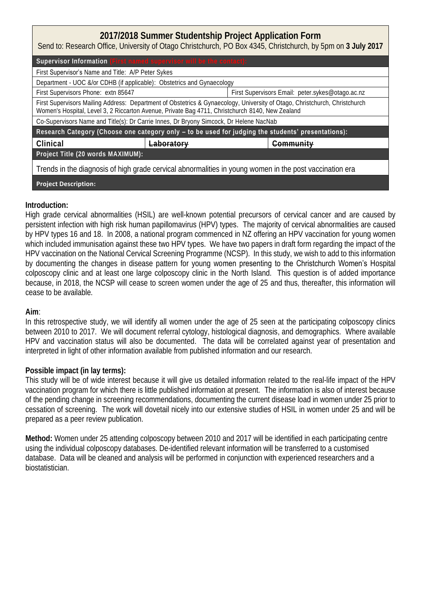## **2017/2018 Summer Studentship Project Application Form**

Send to: Research Office, University of Otago Christchurch, PO Box 4345, Christchurch, by 5pm on **3 July 2017**

| Supervisor Information (First named supervisor will be the contact):                                                                                                                                                          |                       |                                                  |           |  |  |  |  |  |
|-------------------------------------------------------------------------------------------------------------------------------------------------------------------------------------------------------------------------------|-----------------------|--------------------------------------------------|-----------|--|--|--|--|--|
| First Supervisor's Name and Title: A/P Peter Sykes                                                                                                                                                                            |                       |                                                  |           |  |  |  |  |  |
| Department - UOC &/or CDHB (if applicable): Obstetrics and Gynaecology                                                                                                                                                        |                       |                                                  |           |  |  |  |  |  |
| First Supervisors Phone: extn 85647                                                                                                                                                                                           |                       | First Supervisors Email: peter.sykes@otago.ac.nz |           |  |  |  |  |  |
| First Supervisors Mailing Address: Department of Obstetrics & Gynaecology, University of Otago, Christchurch, Christchurch<br>Women's Hospital, Level 3, 2 Riccarton Avenue, Private Bag 4711, Christchurch 8140, New Zealand |                       |                                                  |           |  |  |  |  |  |
| Co-Supervisors Name and Title(s): Dr Carrie Innes, Dr Bryony Simcock, Dr Helene NacNab                                                                                                                                        |                       |                                                  |           |  |  |  |  |  |
| Research Category (Choose one category only - to be used for judging the students' presentations):                                                                                                                            |                       |                                                  |           |  |  |  |  |  |
| Clinical                                                                                                                                                                                                                      | <del>Laboratory</del> |                                                  | Community |  |  |  |  |  |
| Project Title (20 words MAXIMUM):                                                                                                                                                                                             |                       |                                                  |           |  |  |  |  |  |
| Trends in the diagnosis of high grade cervical abnormalities in young women in the post vaccination era                                                                                                                       |                       |                                                  |           |  |  |  |  |  |
| <b>Project Description:</b>                                                                                                                                                                                                   |                       |                                                  |           |  |  |  |  |  |

## **Introduction:**

High grade cervical abnormalities (HSIL) are well-known potential precursors of cervical cancer and are caused by persistent infection with high risk human papillomavirus (HPV) types. The majority of cervical abnormalities are caused by HPV types 16 and 18. In 2008, a national program commenced in NZ offering an HPV vaccination for young women which included immunisation against these two HPV types. We have two papers in draft form regarding the impact of the HPV vaccination on the National Cervical Screening Programme (NCSP). In this study, we wish to add to this information by documenting the changes in disease pattern for young women presenting to the Christchurch Women's Hospital colposcopy clinic and at least one large colposcopy clinic in the North Island. This question is of added importance because, in 2018, the NCSP will cease to screen women under the age of 25 and thus, thereafter, this information will cease to be available.

## **Aim**:

In this retrospective study, we will identify all women under the age of 25 seen at the participating colposcopy clinics between 2010 to 2017. We will document referral cytology, histological diagnosis, and demographics. Where available HPV and vaccination status will also be documented. The data will be correlated against year of presentation and interpreted in light of other information available from published information and our research.

## **Possible impact (in lay terms):**

This study will be of wide interest because it will give us detailed information related to the real-life impact of the HPV vaccination program for which there is little published information at present. The information is also of interest because of the pending change in screening recommendations, documenting the current disease load in women under 25 prior to cessation of screening. The work will dovetail nicely into our extensive studies of HSIL in women under 25 and will be prepared as a peer review publication.

**Method:** Women under 25 attending colposcopy between 2010 and 2017 will be identified in each participating centre using the individual colposcopy databases. De-identified relevant information will be transferred to a customised database. Data will be cleaned and analysis will be performed in conjunction with experienced researchers and a biostatistician.